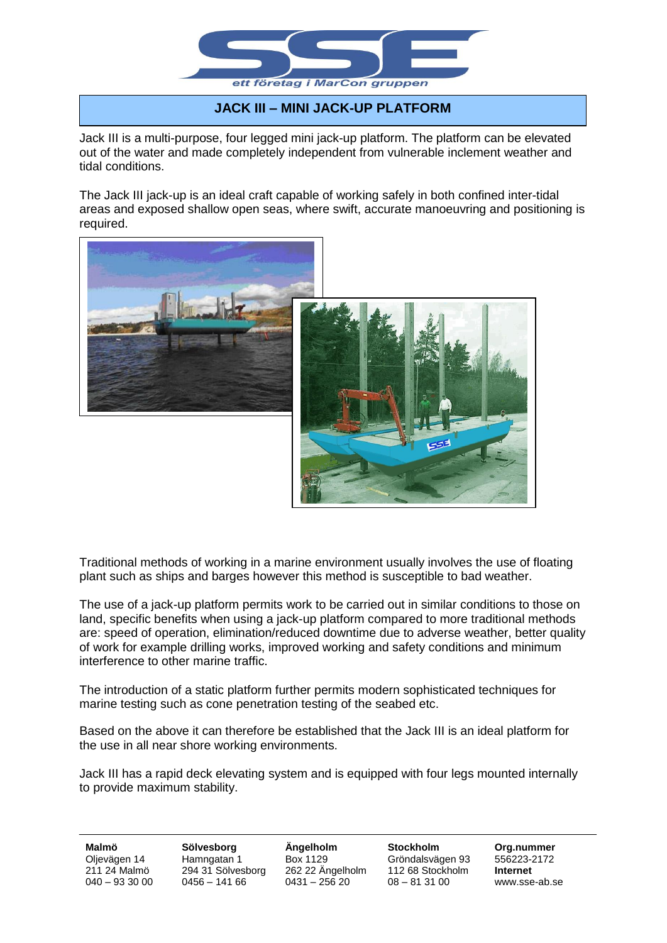

## **JACK III – MINI JACK-UP PLATFORM**

Jack III is a multi-purpose, four legged mini jack-up platform. The platform can be elevated out of the water and made completely independent from vulnerable inclement weather and tidal conditions.

The Jack III jack-up is an ideal craft capable of working safely in both confined inter-tidal areas and exposed shallow open seas, where swift, accurate manoeuvring and positioning is required.



Traditional methods of working in a marine environment usually involves the use of floating plant such as ships and barges however this method is susceptible to bad weather.

The use of a jack-up platform permits work to be carried out in similar conditions to those on land, specific benefits when using a jack-up platform compared to more traditional methods are: speed of operation, elimination/reduced downtime due to adverse weather, better quality of work for example drilling works, improved working and safety conditions and minimum interference to other marine traffic.

The introduction of a static platform further permits modern sophisticated techniques for marine testing such as cone penetration testing of the seabed etc.

Based on the above it can therefore be established that the Jack III is an ideal platform for the use in all near shore working environments.

Jack III has a rapid deck elevating system and is equipped with four legs mounted internally to provide maximum stability.

**Malmö Sölvesborg Ängelholm Stockholm Org.nummer** Oljevägen 14 Hamngatan 1 Box 1129 Gröndalsvägen 93 556223-2172 211 24 Malmö 294 31 Sölvesborg 262 22 Ängelholm 112 68 Stockholm **Internet** 040 – 93 30 00 0456 – 141 66 0431 – 256 20 08 – 81 31 00 www.sse-ab.se